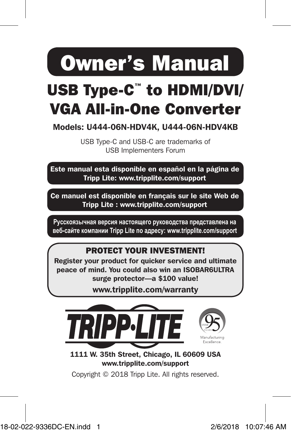Owner's Manual

# USB Type-C™ to HDMI/DVI/ VGA All-in-One Converter

Models: U444-06N-HDV4K, U444-06N-HDV4KB

USB Type-C and USB-C are trademarks of USB Implementers Forum

Este manual esta disponible en español en la página de Tripp Lite: www.tripplite.com/support

Ce manuel est disponible en français sur le site Web de Tripp Lite : www.tripplite.com/support

**Русскоязычная версия настоящего руководства представлена на веб-сайте компании Tripp Lite по адресу: www.tripplite.com/support**

### PROTECT YOUR INVESTMENT!

Register your product for quicker service and ultimate peace of mind. You could also win an ISOBAR6ULTRA surge protector—a \$100 value!

www.tripplite.com/warranty



1111 W. 35th Street, Chicago, IL 60609 USA www.tripplite.com/support

Copyright © 2018 Tripp Lite. All rights reserved.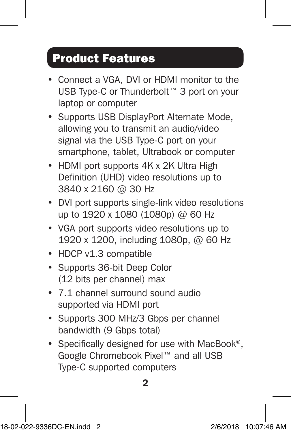## Product Features

- Connect a VGA, DVI or HDMI monitor to the USB Type-C or Thunderbolt™ 3 port on your laptop or computer
- Supports USB DisplayPort Alternate Mode, allowing you to transmit an audio/video signal via the USB Type-C port on your smartphone, tablet, Ultrabook or computer
- HDMI port supports 4K x 2K Ultra High Definition (UHD) video resolutions up to 3840 x 2160 @ 30 Hz
- DVI port supports single-link video resolutions up to 1920 x 1080 (1080p) @ 60 Hz
- VGA port supports video resolutions up to 1920 x 1200, including 1080p, @ 60 Hz
- HDCP v1.3 compatible
- Supports 36-bit Deep Color (12 bits per channel) max
- 7.1 channel surround sound audio supported via HDMI port
- Supports 300 MHz/3 Gbps per channel bandwidth (9 Gbps total)
- Specifically designed for use with MacBook®, Google Chromebook Pixel™ and all USB Type-C supported computers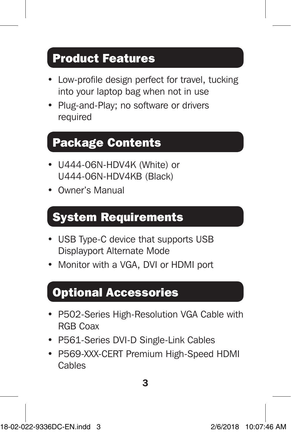## Product Features

- Low-profile design perfect for travel, tucking into your laptop bag when not in use
- Plug-and-Play; no software or drivers required

## Package Contents

- U444-06N-HDV4K (White) or U444-06N-HDV4KB (Black)
- Owner's Manual

## System Requirements

- USB Type-C device that supports USB Displayport Alternate Mode
- Monitor with a VGA, DVI or HDMI port

### Optional Accessories

- P502-Series High-Resolution VGA Cable with RGB Coax
- P561-Series DVI-D Single-Link Cables
- P569-XXX-CERT Premium High-Speed HDMI Cables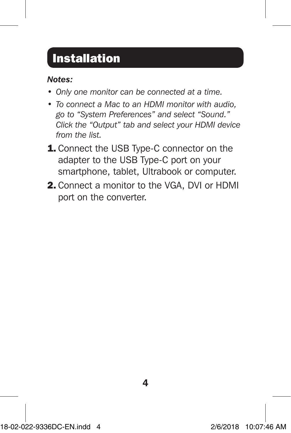## **Installation**

### *Notes:*

- *• Only one monitor can be connected at a time.*
- *• To connect a Mac to an HDMI monitor with audio, go to "System Preferences" and select "Sound." Click the "Output" tab and select your HDMI device from the list.*
- **1.** Connect the USB Type-C connector on the adapter to the USB Type-C port on your smartphone, tablet, Ultrabook or computer.
- 2. Connect a monitor to the VGA, DVI or HDMI port on the converter.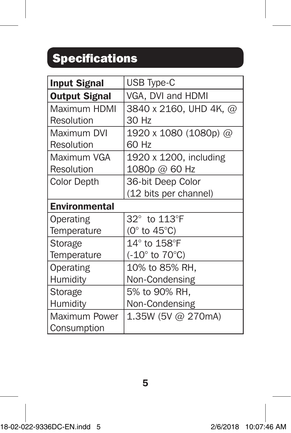## **Specifications**

| <b>Input Signal</b>  | <b>USB Type-C</b>                  |
|----------------------|------------------------------------|
| <b>Output Signal</b> | VGA, DVI and HDMI                  |
| Maximum HDMI         | 3840 x 2160, UHD 4K, @             |
| Resolution           | 30 Hz                              |
| Maximum DVI          | 1920 x 1080 (1080p) @              |
| Resolution           | 60 Hz                              |
| Maximum VGA          | 1920 x 1200, including             |
| Resolution           | 1080p @ 60 Hz                      |
| <b>Color Depth</b>   | 36-bit Deep Color                  |
|                      | (12 bits per channel)              |
| <b>Environmental</b> |                                    |
| Operating            | 32° to 113°F                       |
| Temperature          | (0 $\degree$ to 45 $\degree$ C)    |
| Storage              | $14^\circ$ to $158^\circ$ F        |
| Temperature          | $(-10^{\circ}$ to 70 $^{\circ}$ C) |
| Operating            | 10% to 85% RH,                     |
| Humidity             | Non-Condensing                     |
| Storage              | 5% to 90% RH,                      |
| Humidity             | Non-Condensing                     |
| Maximum Power        | 1.35W (5V @ 270mA)                 |
| Consumption          |                                    |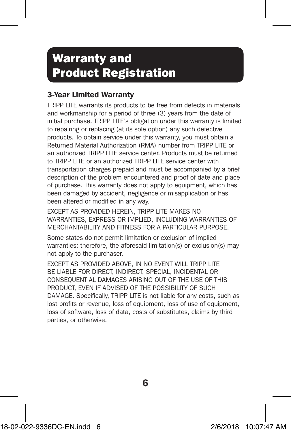## Warranty and Product Registration

### 3-Year Limited Warranty

TRIPP LITE warrants its products to be free from defects in materials and workmanship for a period of three (3) years from the date of initial purchase. TRIPP LITE's obligation under this warranty is limited to repairing or replacing (at its sole option) any such defective products. To obtain service under this warranty, you must obtain a Returned Material Authorization (RMA) number from TRIPP LITE or an authorized TRIPP LITE service center. Products must be returned to TRIPP LITE or an authorized TRIPP LITE service center with transportation charges prepaid and must be accompanied by a brief description of the problem encountered and proof of date and place of purchase. This warranty does not apply to equipment, which has been damaged by accident, negligence or misapplication or has been altered or modified in any way.

EXCEPT AS PROVIDED HEREIN, TRIPP LITE MAKES NO WARRANTIES, EXPRESS OR IMPLIED, INCLUDING WARRANTIES OF MERCHANTABILITY AND FITNESS FOR A PARTICULAR PURPOSE.

Some states do not permit limitation or exclusion of implied warranties; therefore, the aforesaid limitation(s) or exclusion(s) may not apply to the purchaser.

EXCEPT AS PROVIDED ABOVE, IN NO EVENT WILL TRIPP LITE BE LIABLE FOR DIRECT, INDIRECT, SPECIAL, INCIDENTAL OR CONSEQUENTIAL DAMAGES ARISING OUT OF THE USE OF THIS PRODUCT, EVEN IF ADVISED OF THE POSSIBILITY OF SUCH DAMAGE. Specifically, TRIPP LITE is not liable for any costs, such as lost profits or revenue, loss of equipment, loss of use of equipment, loss of software, loss of data, costs of substitutes, claims by third parties, or otherwise.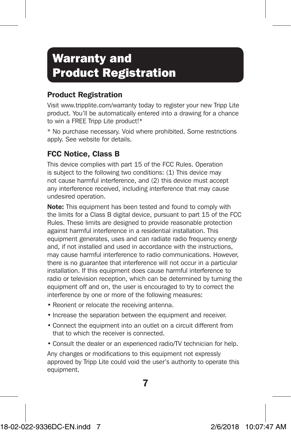## Warranty and Product Registration

### Product Registration

Visit www.tripplite.com/warranty today to register your new Tripp Lite product. You'll be automatically entered into a drawing for a chance to win a FREE Tripp Lite product!\*

\* No purchase necessary. Void where prohibited. Some restrictions apply. See website for details.

### FCC Notice, Class B

This device complies with part 15 of the FCC Rules. Operation is subject to the following two conditions: (1) This device may not cause harmful interference, and (2) this device must accept any interference received, including interference that may cause undesired operation.

Note: This equipment has been tested and found to comply with the limits for a Class B digital device, pursuant to part 15 of the FCC Rules. These limits are designed to provide reasonable protection against harmful interference in a residential installation. This equipment generates, uses and can radiate radio frequency energy and, if not installed and used in accordance with the instructions, may cause harmful interference to radio communications. However, there is no guarantee that interference will not occur in a particular installation. If this equipment does cause harmful interference to radio or television reception, which can be determined by turning the equipment off and on, the user is encouraged to try to correct the interference by one or more of the following measures:

- Reorient or relocate the receiving antenna.
- Increase the separation between the equipment and receiver.
- Connect the equipment into an outlet on a circuit different from that to which the receiver is connected.
- Consult the dealer or an experienced radio/TV technician for help.

Any changes or modifications to this equipment not expressly approved by Tripp Lite could void the user's authority to operate this equipment.